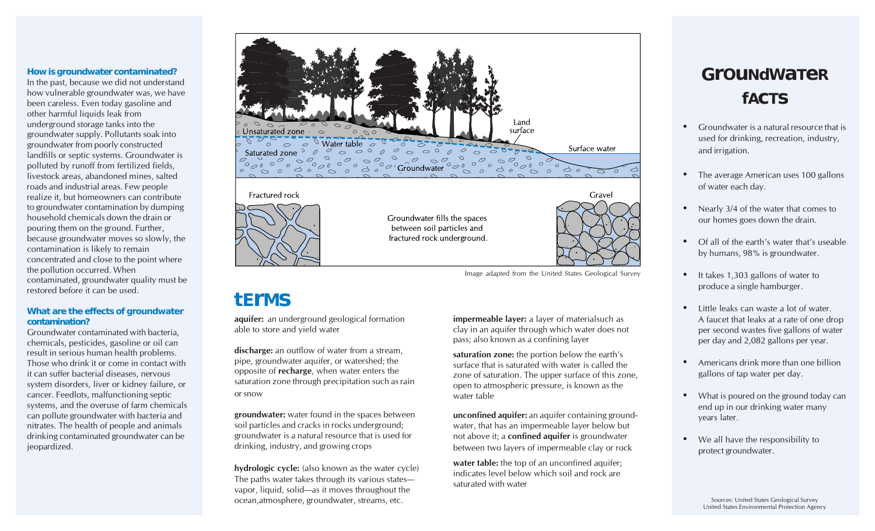#### **How is groundwater contaminated?**

In the past, because we did not understand how vulnerable groundwater was, we have been careless. Even today gasoline and other harmful liquids leak from underground storage tanks into the groundwater supply. Pollutants soak into groundwater from poorly constructed landfills or septic systems. Groundwater is polluted by runoff from fertilized fields, livestock areas, abandoned mines, salted roads and industrial areas. Few people realize it, but homeowners can contribute to groundwater contamination by dumping household chemicals down the drain or pouring them on the ground. Further, because groundwater moves so slowly, the contamination is likely to remain concentrated and close to the point where the pollution occurred. When contaminated, groundwater quality must be restored before it can be used.

#### **What are the effects of groundwater contamination?**

Groundwater contaminated with bacteria, chemicals, pesticides, gasoline or oil can result in serious human health problems. Those who drink it or come in contact with it can suffer bacterial diseases, nervous system disorders, liver or kidney failure, or cancer. Feedlots, malfunctioning septic systems, and the overuse of farm chemicals can pollute groundwater with bacteria and nitrates. The health of people and animals drinking contaminated groundwater can be jeopardized.



Image adapted from the United States Geological Survey

### **tErMs**

**aquifer:** an underground geological formation able to store and yield water

**discharge:** an outflow of water from a stream, pipe, groundwater aquifer, or watershed; the opposite of **recharge**, when water enters the saturation zone through precipitation such as rain or snow

**groundwater:** water found in the spaces between soil particles and cracks in rocks underground; groundwater is a natural resource that is used for drinking, industry, and growing crops

**hydrologic cycle:** (also known as the water cycle) The paths water takes through its various states vapor, liquid, solid—as it moves throughout the ocean,atmosphere, groundwater, streams, etc.

**impermeable layer:** a layer of materialsuch as clay in an aquifer through which water does not pass; also known as a confining layer

**saturation zone:** the portion below the earth's surface that is saturated with water is called the zone of saturation. The upper surface of this zone, open to atmospheric pressure, is known as the water table

**unconfined aquifer:** an aquifer containing groundwater, that has an impermeable layer below but not above it; a **confined aquifer** is groundwater between two layers of impermeable clay or rock

**water table:** the top of an unconfined aquifer; indicates level below which soil and rock are saturated with water

## **GrOuNdWaTeR fAcTs**

- $\bullet$  Groundwater is a natural resource that is used for drinking, recreation, industry, and irrigation.
- $\bullet$  The average American uses 100 gallons of water each day.
- Nearly 3/4 of the water that comes to our homes goes down the drain.
- $\bullet$  Of all of the earth's water that's useable by humans, 98% is groundwater.
- It takes 1,303 gallons of water to produce a single hamburger.
- $\bullet$  Little leaks can waste a lot of water. A faucet that leaks at a rate of one drop per second wastes five gallons of water per day and 2,082 gallons per year.
- $\bullet$  Americans drink more than one billion gallons of tap water per day.
- What is poured on the ground today can end up in our drinking water many years later.
- We all have the responsibility to protect groundwater.